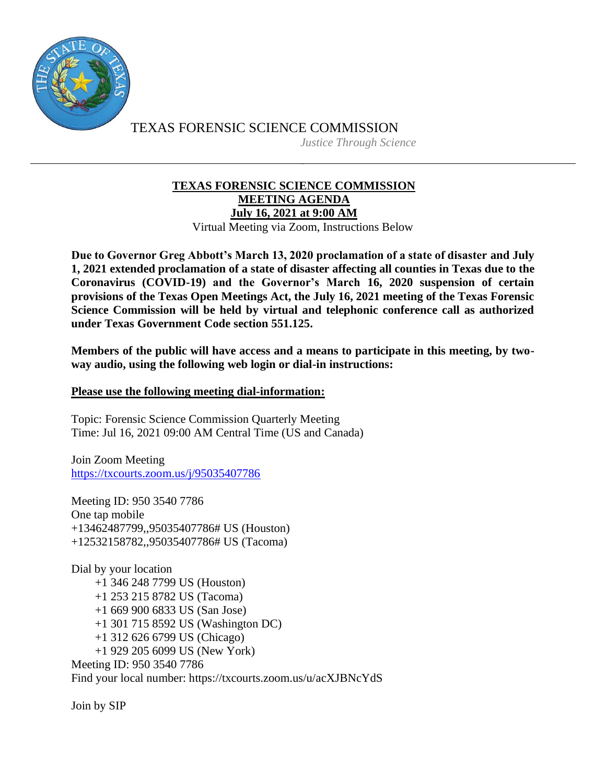

TEXAS FORENSIC SCIENCE COMMISSION *Justice Through Science*

## **TEXAS FORENSIC SCIENCE COMMISSION MEETING AGENDA July 16, 2021 at 9:00 AM** Virtual Meeting via Zoom, Instructions Below

**Due to Governor Greg Abbott's March 13, 2020 proclamation of a state of disaster and July 1, 2021 extended proclamation of a state of disaster affecting all counties in Texas due to the Coronavirus (COVID-19) and the Governor's March 16, 2020 suspension of certain provisions of the Texas Open Meetings Act, the July 16, 2021 meeting of the Texas Forensic Science Commission will be held by virtual and telephonic conference call as authorized under Texas Government Code section 551.125.**

**Members of the public will have access and a means to participate in this meeting, by twoway audio, using the following web login or dial-in instructions:**

# **Please use the following meeting dial-information:**

Topic: Forensic Science Commission Quarterly Meeting Time: Jul 16, 2021 09:00 AM Central Time (US and Canada)

Join Zoom Meeting <https://txcourts.zoom.us/j/95035407786>

Meeting ID: 950 3540 7786 One tap mobile +13462487799,,95035407786# US (Houston) +12532158782,,95035407786# US (Tacoma)

Dial by your location +1 346 248 7799 US (Houston) +1 253 215 8782 US (Tacoma) +1 669 900 6833 US (San Jose) +1 301 715 8592 US (Washington DC) +1 312 626 6799 US (Chicago) +1 929 205 6099 US (New York) Meeting ID: 950 3540 7786

Find your local number: https://txcourts.zoom.us/u/acXJBNcYdS

Join by SIP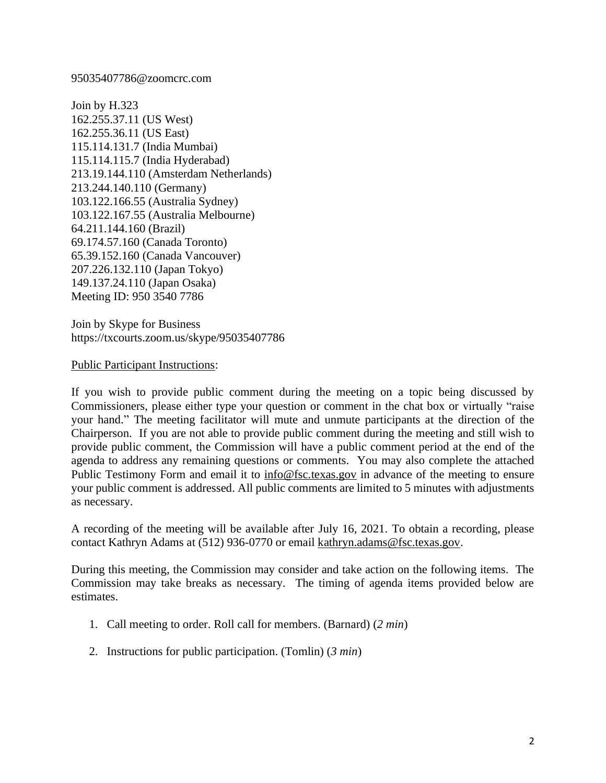#### 95035407786@zoomcrc.com

Join by H.323 162.255.37.11 (US West) 162.255.36.11 (US East) 115.114.131.7 (India Mumbai) 115.114.115.7 (India Hyderabad) 213.19.144.110 (Amsterdam Netherlands) 213.244.140.110 (Germany) 103.122.166.55 (Australia Sydney) 103.122.167.55 (Australia Melbourne) 64.211.144.160 (Brazil) 69.174.57.160 (Canada Toronto) 65.39.152.160 (Canada Vancouver) 207.226.132.110 (Japan Tokyo) 149.137.24.110 (Japan Osaka) Meeting ID: 950 3540 7786

Join by Skype for Business https://txcourts.zoom.us/skype/95035407786

### Public Participant Instructions:

If you wish to provide public comment during the meeting on a topic being discussed by Commissioners, please either type your question or comment in the chat box or virtually "raise your hand." The meeting facilitator will mute and unmute participants at the direction of the Chairperson. If you are not able to provide public comment during the meeting and still wish to provide public comment, the Commission will have a public comment period at the end of the agenda to address any remaining questions or comments. You may also complete the attached Public Testimony Form and email it to [info@fsc.texas.gov](mailto:info@fsc.texas.gov) in advance of the meeting to ensure your public comment is addressed. All public comments are limited to 5 minutes with adjustments as necessary.

A recording of the meeting will be available after July 16, 2021. To obtain a recording, please contact Kathryn Adams at (512) 936-0770 or email [kathryn.adams@fsc.texas.gov.](mailto:info@fsc.texas.gov)

During this meeting, the Commission may consider and take action on the following items. The Commission may take breaks as necessary. The timing of agenda items provided below are estimates.

- 1. Call meeting to order. Roll call for members. (Barnard) (*2 min*)
- 2. Instructions for public participation. (Tomlin) (*3 min*)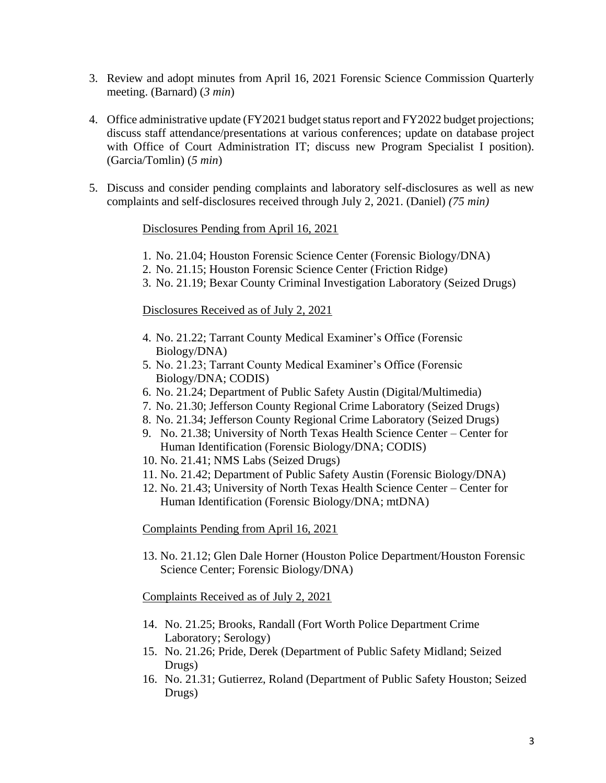- 3. Review and adopt minutes from April 16, 2021 Forensic Science Commission Quarterly meeting. (Barnard) (*3 min*)
- 4. Office administrative update (FY2021 budget status report and FY2022 budget projections; discuss staff attendance/presentations at various conferences; update on database project with Office of Court Administration IT; discuss new Program Specialist I position). (Garcia/Tomlin) (*5 min*)
- 5. Discuss and consider pending complaints and laboratory self-disclosures as well as new complaints and self-disclosures received through July 2, 2021. (Daniel) *(75 min)*

### Disclosures Pending from April 16, 2021

- 1. No. 21.04; Houston Forensic Science Center (Forensic Biology/DNA)
- 2. No. 21.15; Houston Forensic Science Center (Friction Ridge)
- 3. No. 21.19; Bexar County Criminal Investigation Laboratory (Seized Drugs)

Disclosures Received as of July 2, 2021

- 4. No. 21.22; Tarrant County Medical Examiner's Office (Forensic Biology/DNA)
- 5. No. 21.23; Tarrant County Medical Examiner's Office (Forensic Biology/DNA; CODIS)
- 6. No. 21.24; Department of Public Safety Austin (Digital/Multimedia)
- 7. No. 21.30; Jefferson County Regional Crime Laboratory (Seized Drugs)
- 8. No. 21.34; Jefferson County Regional Crime Laboratory (Seized Drugs)
- 9. No. 21.38; University of North Texas Health Science Center Center for Human Identification (Forensic Biology/DNA; CODIS)
- 10. No. 21.41; NMS Labs (Seized Drugs)
- 11. No. 21.42; Department of Public Safety Austin (Forensic Biology/DNA)
- 12. No. 21.43; University of North Texas Health Science Center Center for Human Identification (Forensic Biology/DNA; mtDNA)

Complaints Pending from April 16, 2021

13. No. 21.12; Glen Dale Horner (Houston Police Department/Houston Forensic Science Center; Forensic Biology/DNA)

Complaints Received as of July 2, 2021

- 14. No. 21.25; Brooks, Randall (Fort Worth Police Department Crime Laboratory; Serology)
- 15. No. 21.26; Pride, Derek (Department of Public Safety Midland; Seized Drugs)
- 16. No. 21.31; Gutierrez, Roland (Department of Public Safety Houston; Seized Drugs)